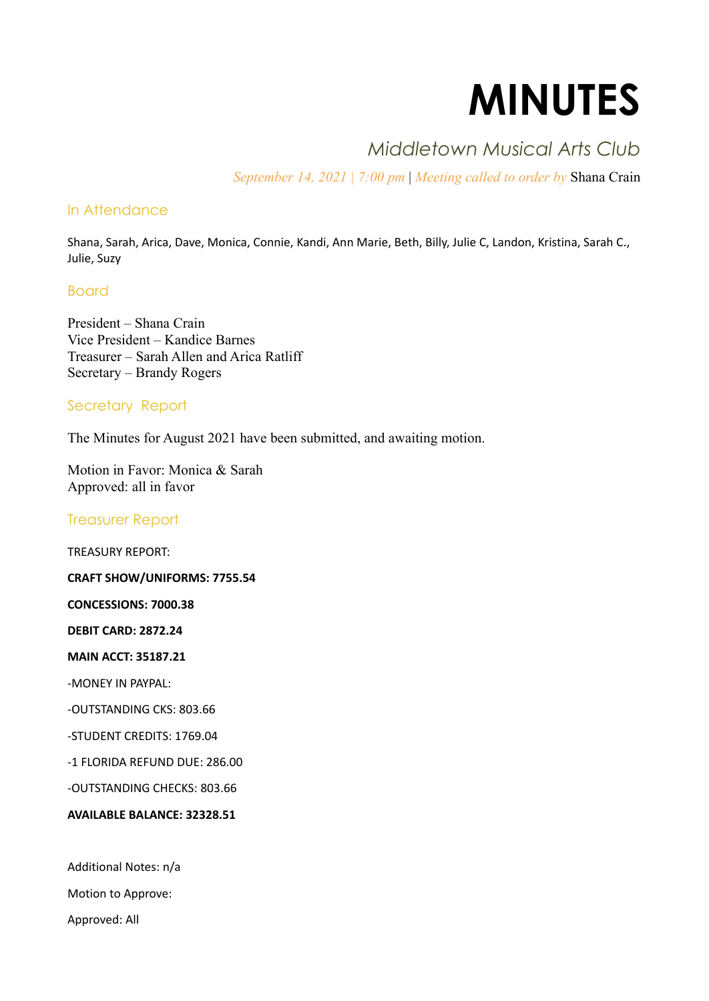# **MINUTES**

# *Middletown Musical Arts Club*

*September 14, 2021 | 7:00 pm* | *Meeting called to order by* Shana Crain

# In Attendance

Shana, Sarah, Arica, Dave, Monica, Connie, Kandi, Ann Marie, Beth, Billy, Julie C, Landon, Kristina, Sarah C., Julie, Suzy

# Board

President – Shana Crain Vice President – Kandice Barnes Treasurer – Sarah Allen and Arica Ratliff Secretary – Brandy Rogers

# Secretary Report

The Minutes for August 2021 have been submitted, and awaiting motion.

Motion in Favor: Monica & Sarah Approved: all in favor

# Treasurer Report

TREASURY REPORT:

**CRAFT SHOW/UNIFORMS: 7755.54**

**CONCESSIONS: 7000.38**

**DEBIT CARD: 2872.24**

**MAIN ACCT: 35187.21**

-MONEY IN PAYPAL:

-OUTSTANDING CKS: 803.66

-STUDENT CREDITS: 1769.04

-1 FLORIDA REFUND DUE: 286.00

-OUTSTANDING CHECKS: 803.66

**AVAILABLE BALANCE: 32328.51**

Additional Notes: n/a

Motion to Approve:

Approved: All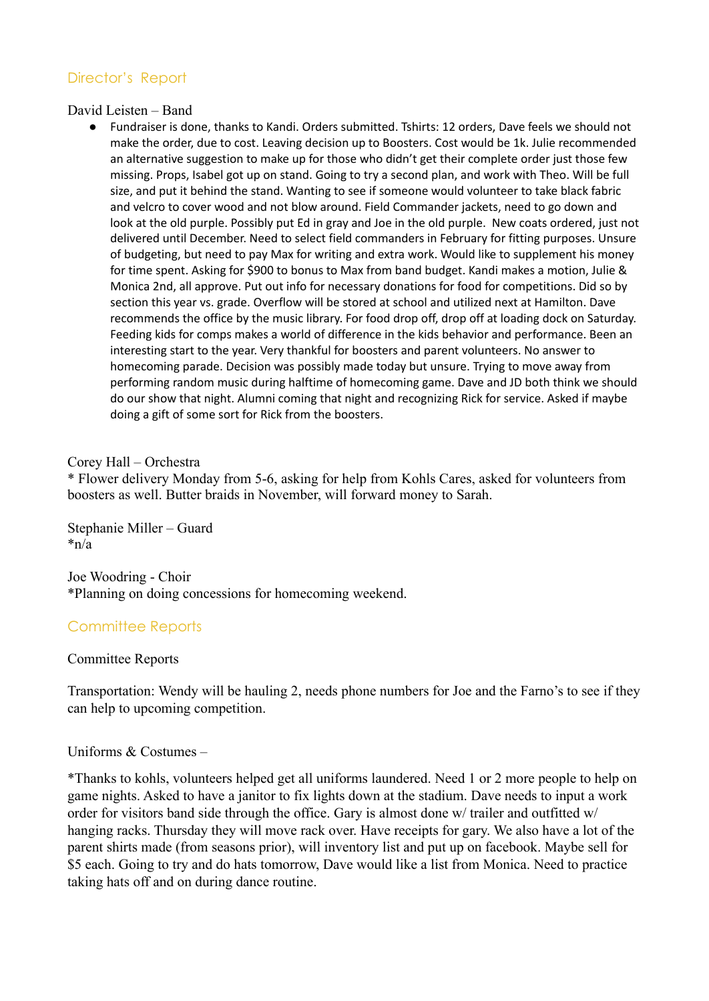# Director's Report

David Leisten – Band

● Fundraiser is done, thanks to Kandi. Orders submitted. Tshirts: 12 orders, Dave feels we should not make the order, due to cost. Leaving decision up to Boosters. Cost would be 1k. Julie recommended an alternative suggestion to make up for those who didn't get their complete order just those few missing. Props, Isabel got up on stand. Going to try a second plan, and work with Theo. Will be full size, and put it behind the stand. Wanting to see if someone would volunteer to take black fabric and velcro to cover wood and not blow around. Field Commander jackets, need to go down and look at the old purple. Possibly put Ed in gray and Joe in the old purple. New coats ordered, just not delivered until December. Need to select field commanders in February for fitting purposes. Unsure of budgeting, but need to pay Max for writing and extra work. Would like to supplement his money for time spent. Asking for \$900 to bonus to Max from band budget. Kandi makes a motion, Julie & Monica 2nd, all approve. Put out info for necessary donations for food for competitions. Did so by section this year vs. grade. Overflow will be stored at school and utilized next at Hamilton. Dave recommends the office by the music library. For food drop off, drop off at loading dock on Saturday. Feeding kids for comps makes a world of difference in the kids behavior and performance. Been an interesting start to the year. Very thankful for boosters and parent volunteers. No answer to homecoming parade. Decision was possibly made today but unsure. Trying to move away from performing random music during halftime of homecoming game. Dave and JD both think we should do our show that night. Alumni coming that night and recognizing Rick for service. Asked if maybe doing a gift of some sort for Rick from the boosters.

## Corey Hall – Orchestra

\* Flower delivery Monday from 5-6, asking for help from Kohls Cares, asked for volunteers from boosters as well. Butter braids in November, will forward money to Sarah.

Stephanie Miller – Guard  $*_{n/a}$ 

Joe Woodring - Choir \*Planning on doing concessions for homecoming weekend.

# Committee Reports

## Committee Reports

Transportation: Wendy will be hauling 2, needs phone numbers for Joe and the Farno's to see if they can help to upcoming competition.

## Uniforms & Costumes –

\*Thanks to kohls, volunteers helped get all uniforms laundered. Need 1 or 2 more people to help on game nights. Asked to have a janitor to fix lights down at the stadium. Dave needs to input a work order for visitors band side through the office. Gary is almost done w/ trailer and outfitted w/ hanging racks. Thursday they will move rack over. Have receipts for gary. We also have a lot of the parent shirts made (from seasons prior), will inventory list and put up on facebook. Maybe sell for \$5 each. Going to try and do hats tomorrow, Dave would like a list from Monica. Need to practice taking hats off and on during dance routine.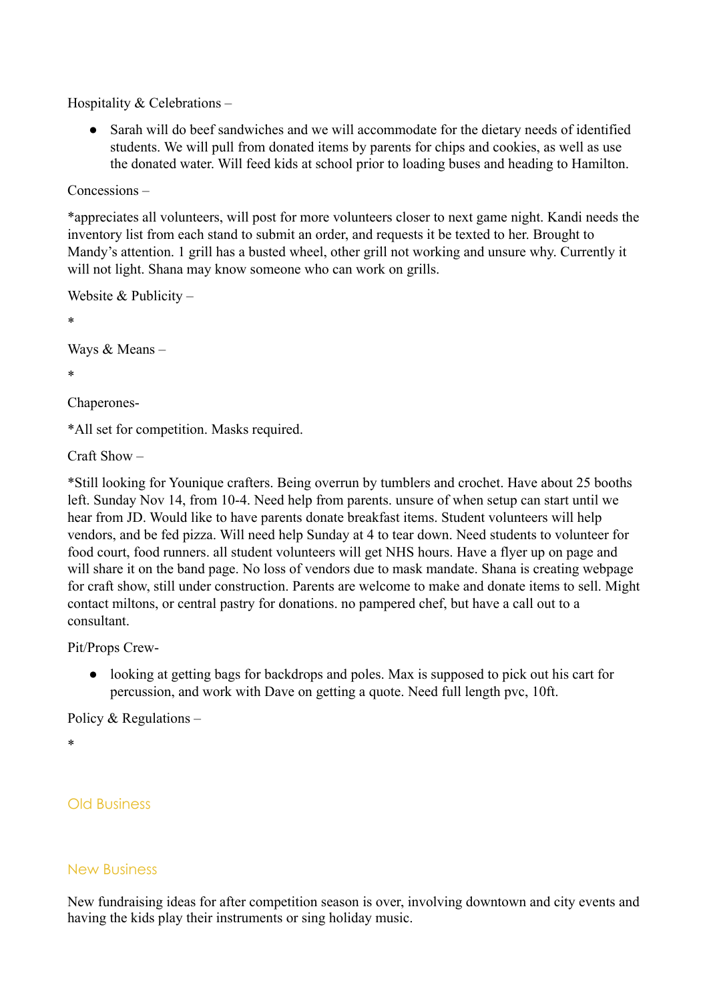Hospitality & Celebrations –

Sarah will do beef sandwiches and we will accommodate for the dietary needs of identified students. We will pull from donated items by parents for chips and cookies, as well as use the donated water. Will feed kids at school prior to loading buses and heading to Hamilton.

```
Concessions –
```
\*appreciates all volunteers, will post for more volunteers closer to next game night. Kandi needs the inventory list from each stand to submit an order, and requests it be texted to her. Brought to Mandy's attention. 1 grill has a busted wheel, other grill not working and unsure why. Currently it will not light. Shana may know someone who can work on grills.

```
Website & Publicity –
*
Ways & Means –
*
```
Chaperones-

\*All set for competition. Masks required.

Craft Show –

\*Still looking for Younique crafters. Being overrun by tumblers and crochet. Have about 25 booths left. Sunday Nov 14, from 10-4. Need help from parents. unsure of when setup can start until we hear from JD. Would like to have parents donate breakfast items. Student volunteers will help vendors, and be fed pizza. Will need help Sunday at 4 to tear down. Need students to volunteer for food court, food runners. all student volunteers will get NHS hours. Have a flyer up on page and will share it on the band page. No loss of vendors due to mask mandate. Shana is creating webpage for craft show, still under construction. Parents are welcome to make and donate items to sell. Might contact miltons, or central pastry for donations. no pampered chef, but have a call out to a consultant.

Pit/Props Crew-

● looking at getting bags for backdrops and poles. Max is supposed to pick out his cart for percussion, and work with Dave on getting a quote. Need full length pvc, 10ft.

Policy & Regulations –

\*

Old Business

# New Business

New fundraising ideas for after competition season is over, involving downtown and city events and having the kids play their instruments or sing holiday music.